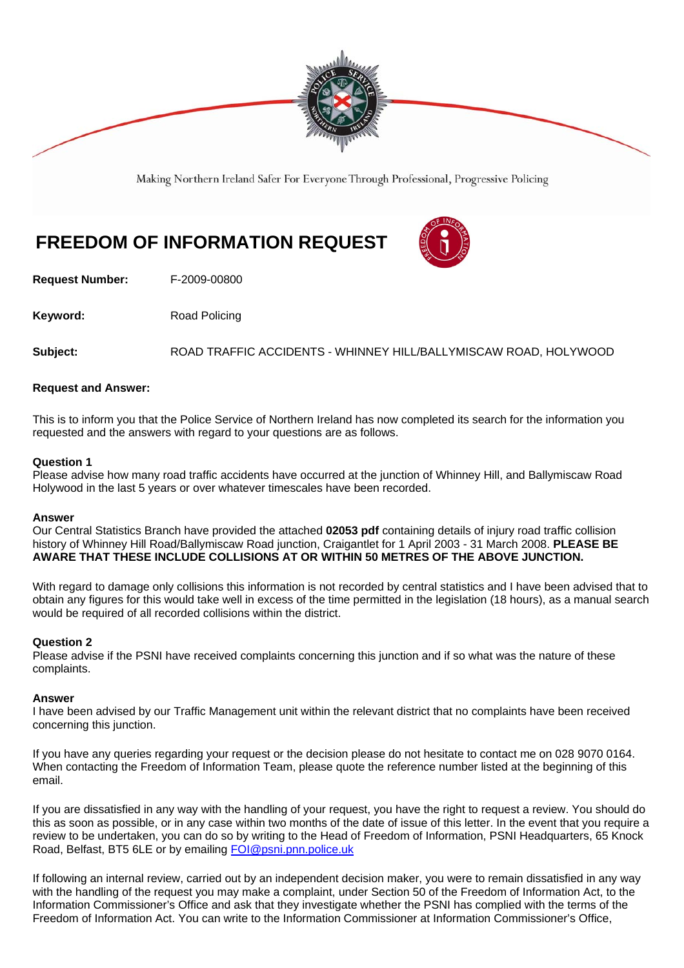

Making Northern Ireland Safer For Everyone Through Professional, Progressive Policing

# **FREEDOM OF INFORMATION REQUEST**

**Request Number:** F-2009-00800

**Keyword:** Road Policing

**Subject:** ROAD TRAFFIC ACCIDENTS - WHINNEY HILL/BALLYMISCAW ROAD, HOLYWOOD

## **Request and Answer:**

This is to inform you that the Police Service of Northern Ireland has now completed its search for the information you requested and the answers with regard to your questions are as follows.

### **Question 1**

Please advise how many road traffic accidents have occurred at the junction of Whinney Hill, and Ballymiscaw Road Holywood in the last 5 years or over whatever timescales have been recorded.

#### **Answer**

Our Central Statistics Branch have provided the attached **02053 pdf** containing details of injury road traffic collision history of Whinney Hill Road/Ballymiscaw Road junction, Craigantlet for 1 April 2003 - 31 March 2008. **PLEASE BE AWARE THAT THESE INCLUDE COLLISIONS AT OR WITHIN 50 METRES OF THE ABOVE JUNCTION.**

With regard to damage only collisions this information is not recorded by central statistics and I have been advised that to obtain any figures for this would take well in excess of the time permitted in the legislation (18 hours), as a manual search would be required of all recorded collisions within the district.

#### **Question 2**

Please advise if the PSNI have received complaints concerning this junction and if so what was the nature of these complaints.

#### **Answer**

I have been advised by our Traffic Management unit within the relevant district that no complaints have been received concerning this junction.

If you have any queries regarding your request or the decision please do not hesitate to contact me on 028 9070 0164. When contacting the Freedom of Information Team, please quote the reference number listed at the beginning of this email.

If you are dissatisfied in any way with the handling of your request, you have the right to request a review. You should do this as soon as possible, or in any case within two months of the date of issue of this letter. In the event that you require a review to be undertaken, you can do so by writing to the Head of Freedom of Information, PSNI Headquarters, 65 Knock Road, Belfast, BT5 6LE or by emailing FOI@psni.pnn.police.uk

If following an internal review, carried out by an independent decision maker, you were to remain dissatisfied in any way with the handling of the request you may make a complaint, under Section 50 of the Freedom of Information Act, to the Information Commissioner's Office and ask that they investigate whether the PSNI has complied with the terms of the Freedom of Information Act. You can write to the Information Commissioner at Information Commissioner's Office,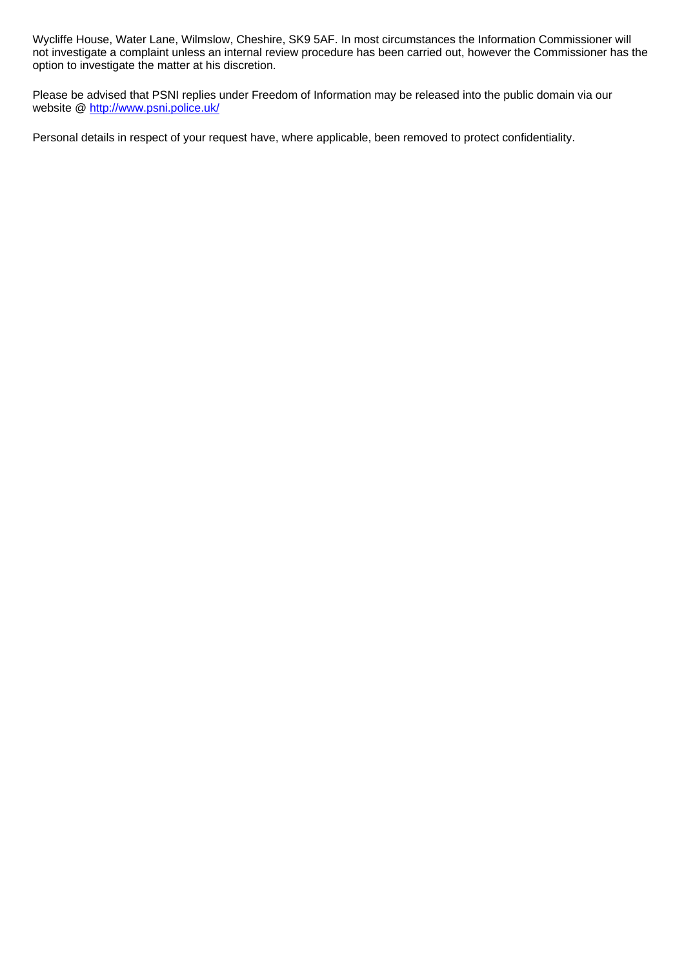Wycliffe House, Water Lane, Wilmslow, Cheshire, SK9 5AF. In most circumstances the Information Commissioner will not investigate a complaint unless an internal review procedure has been carried out, however the Commissioner has the option to investigate the matter at his discretion.

Please be advised that PSNI replies under Freedom of Information may be released into the public domain via our website @ http://www.psni.police.uk/

Personal details in respect of your request have, where applicable, been removed to protect confidentiality.